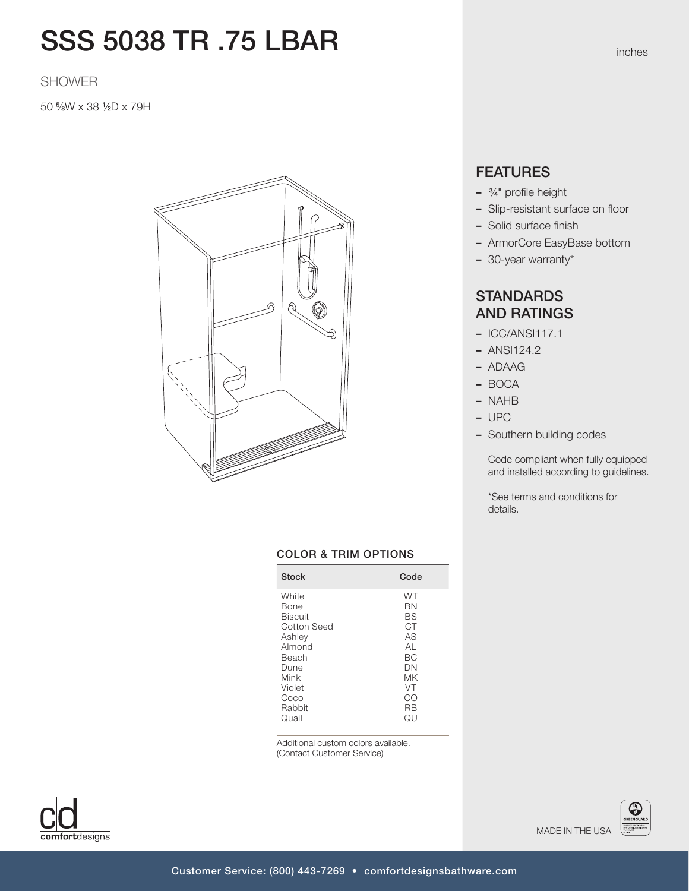## SSS 5038 TR .75 LBAR

## SHOWER

50 5 ⁄8W x 38 1 ⁄2D x 79H



### COLOR & TRIM OPTIONS

| <b>Stock</b>   | Code  |
|----------------|-------|
| White          | WT    |
| Bone           | ΒN    |
| <b>Biscuit</b> | BS    |
| Cotton Seed    | СT    |
| Ashley         | AS    |
| Almond         | AI    |
| Beach          | ВC    |
| Dune           | DΝ    |
| Mink           | МK    |
| Violet         | VT    |
| Coco           | CO    |
| Rahhit         | RB    |
| Quail          | I JC. |

Additional custom colors available. (Contact Customer Service)



– ADAAG – BOCA

**FEATURES** 

– <sup>3</sup> ⁄4" profile height

– Solid surface finish

- 30-year warranty\*

**STANDARDS** AND RATINGS – ICC/ANSI117.1 – ANSI124.2

– Slip-resistant surface on floor

– ArmorCore EasyBase bottom

- NAHB
- UPC
- Southern building codes

Code compliant when fully equipped and installed according to guidelines.

\*See terms and conditions for details.

comfortdesigns